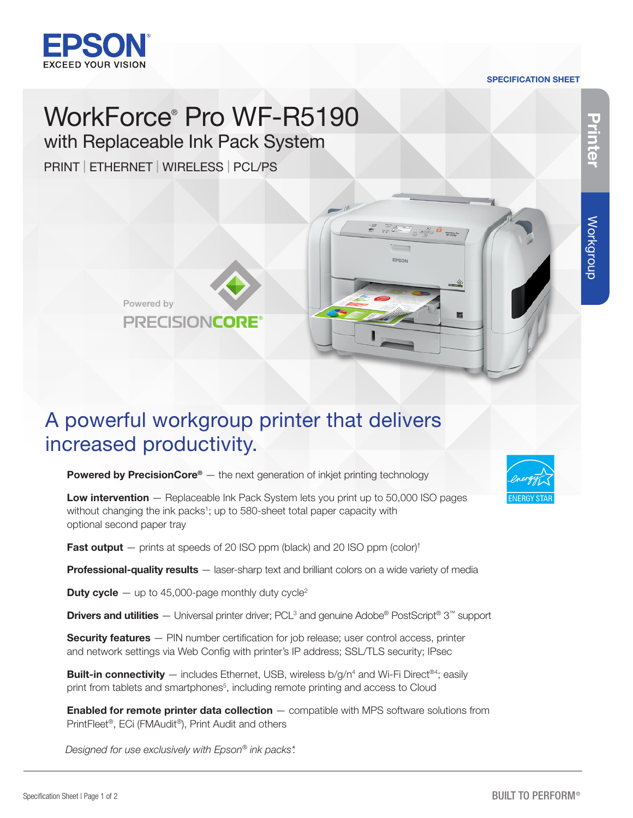

# SPECIFICATION SHEET

**EPSON** 

# WorkForce® Pro WF-R5190 with Replaceable Ink Pack System

PRINT | ETHERNET | WIRELESS | PCL/PS

Powered by

PRECISIONCORE®

A powerful workgroup printer that delivers increased productivity.

**Powered by PrecisionCore®** — the next generation of inkjet printing technology

Low intervention – Replaceable Ink Pack System lets you print up to 50,000 ISO pages without changing the ink packs<sup>1</sup>; up to 580-sheet total paper capacity with optional second paper tray

**Fast output**  $-$  prints at speeds of 20 ISO ppm (black) and 20 ISO ppm (color)<sup>†</sup>

**Professional-quality results** — laser-sharp text and brilliant colors on a wide variety of media

**Duty cycle**  $-$  up to 45,000-page monthly duty cycle<sup>2</sup>

**Drivers and utilities** — Universal printer driver; PCL<sup>3</sup> and genuine Adobe® PostScript® 3™ support

Security features - PIN number certification for job release; user control access, printer and network settings via Web Config with printer's IP address; SSL/TLS security; IPsec

**Built-in connectivity** — includes Ethernet, USB, wireless b/g/n<sup>4</sup> and Wi-Fi Direct®<sup>4</sup>; easily print from tablets and smartphones<sup>5</sup>, including remote printing and access to Cloud

**Enabled for remote printer data collection** — compatible with MPS software solutions from PrintFleet®, ECi (FMAudit®), Print Audit and others

*Designed for use exclusively with Epson® ink packs\*.*